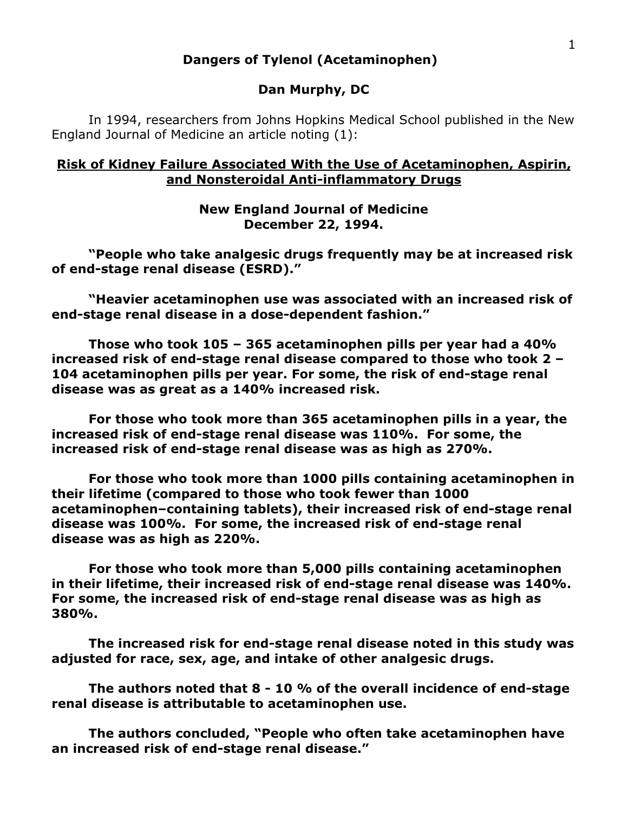#### **Dangers of Tylenol (Acetaminophen)**

#### **Dan Murphy, DC**

In 1994, researchers from Johns Hopkins Medical School published in the New England Journal of Medicine an article noting (1):

#### **Risk of Kidney Failure Associated With the Use of Acetaminophen, Aspirin, and Nonsteroidal Anti-inflammatory Drugs**

#### **New England Journal of Medicine December 22, 1994.**

**"People who take analgesic drugs frequently may be at increased risk of end-stage renal disease (ESRD)."**

**"Heavier acetaminophen use was associated with an increased risk of end-stage renal disease in a dose-dependent fashion."**

**Those who took 105 – 365 acetaminophen pills per year had a 40% increased risk of end-stage renal disease compared to those who took 2 – 104 acetaminophen pills per year. For some, the risk of end-stage renal disease was as great as a 140% increased risk.**

**For those who took more than 365 acetaminophen pills in a year, the increased risk of end-stage renal disease was 110%. For some, the increased risk of end-stage renal disease was as high as 270%.**

**For those who took more than 1000 pills containing acetaminophen in their lifetime (compared to those who took fewer than 1000 acetaminophen–containing tablets), their increased risk of end-stage renal disease was 100%. For some, the increased risk of end-stage renal disease was as high as 220%.**

**For those who took more than 5,000 pills containing acetaminophen in their lifetime, their increased risk of end-stage renal disease was 140%. For some, the increased risk of end-stage renal disease was as high as 380%.**

**The increased risk for end-stage renal disease noted in this study was adjusted for race, sex, age, and intake of other analgesic drugs.**

**The authors noted that 8 - 10 % of the overall incidence of end-stage renal disease is attributable to acetaminophen use.**

**The authors concluded, "People who often take acetaminophen have an increased risk of end-stage renal disease."**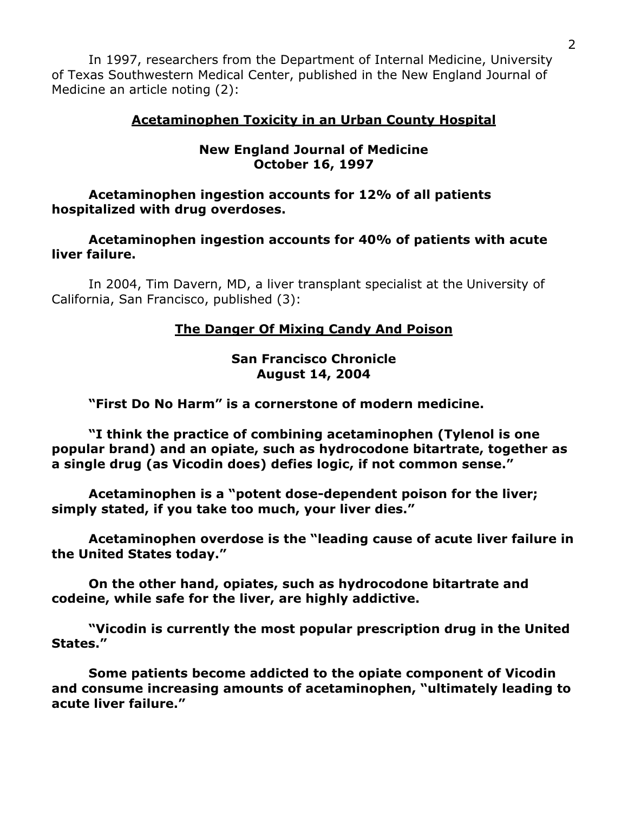In 1997, researchers from the Department of Internal Medicine, University of Texas Southwestern Medical Center, published in the New England Journal of Medicine an article noting (2):

## **Acetaminophen Toxicity in an Urban County Hospital**

#### **New England Journal of Medicine October 16, 1997**

**Acetaminophen ingestion accounts for 12% of all patients hospitalized with drug overdoses.**

**Acetaminophen ingestion accounts for 40% of patients with acute liver failure.**

In 2004, Tim Davern, MD, a liver transplant specialist at the University of California, San Francisco, published (3):

# **The Danger Of Mixing Candy And Poison**

#### **San Francisco Chronicle August 14, 2004**

**"First Do No Harm" is a cornerstone of modern medicine.**

**"I think the practice of combining acetaminophen (Tylenol is one popular brand) and an opiate, such as hydrocodone bitartrate, together as a single drug (as Vicodin does) defies logic, if not common sense."**

**Acetaminophen is a "potent dose-dependent poison for the liver; simply stated, if you take too much, your liver dies."**

**Acetaminophen overdose is the "leading cause of acute liver failure in the United States today."**

**On the other hand, opiates, such as hydrocodone bitartrate and codeine, while safe for the liver, are highly addictive.**

**"Vicodin is currently the most popular prescription drug in the United States."**

**Some patients become addicted to the opiate component of Vicodin and consume increasing amounts of acetaminophen, "ultimately leading to acute liver failure."**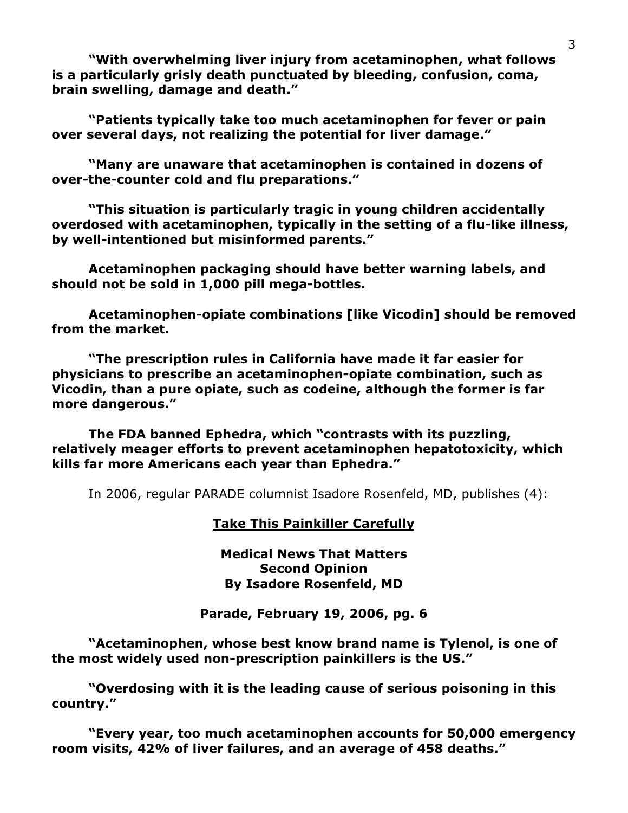**"With overwhelming liver injury from acetaminophen, what follows is a particularly grisly death punctuated by bleeding, confusion, coma, brain swelling, damage and death."**

**"Patients typically take too much acetaminophen for fever or pain over several days, not realizing the potential for liver damage."**

**"Many are unaware that acetaminophen is contained in dozens of over-the-counter cold and flu preparations."**

**"This situation is particularly tragic in young children accidentally overdosed with acetaminophen, typically in the setting of a flu-like illness, by well-intentioned but misinformed parents."**

**Acetaminophen packaging should have better warning labels, and should not be sold in 1,000 pill mega-bottles.**

**Acetaminophen-opiate combinations [like Vicodin] should be removed from the market.**

**"The prescription rules in California have made it far easier for physicians to prescribe an acetaminophen-opiate combination, such as Vicodin, than a pure opiate, such as codeine, although the former is far more dangerous."**

**The FDA banned Ephedra, which "contrasts with its puzzling, relatively meager efforts to prevent acetaminophen hepatotoxicity, which kills far more Americans each year than Ephedra."**

In 2006, regular PARADE columnist Isadore Rosenfeld, MD, publishes (4):

## **Take This Painkiller Carefully**

**Medical News That Matters Second Opinion By Isadore Rosenfeld, MD**

**Parade, February 19, 2006, pg. 6**

**"Acetaminophen, whose best know brand name is Tylenol, is one of the most widely used non-prescription painkillers is the US."**

**"Overdosing with it is the leading cause of serious poisoning in this country."**

**"Every year, too much acetaminophen accounts for 50,000 emergency room visits, 42% of liver failures, and an average of 458 deaths."**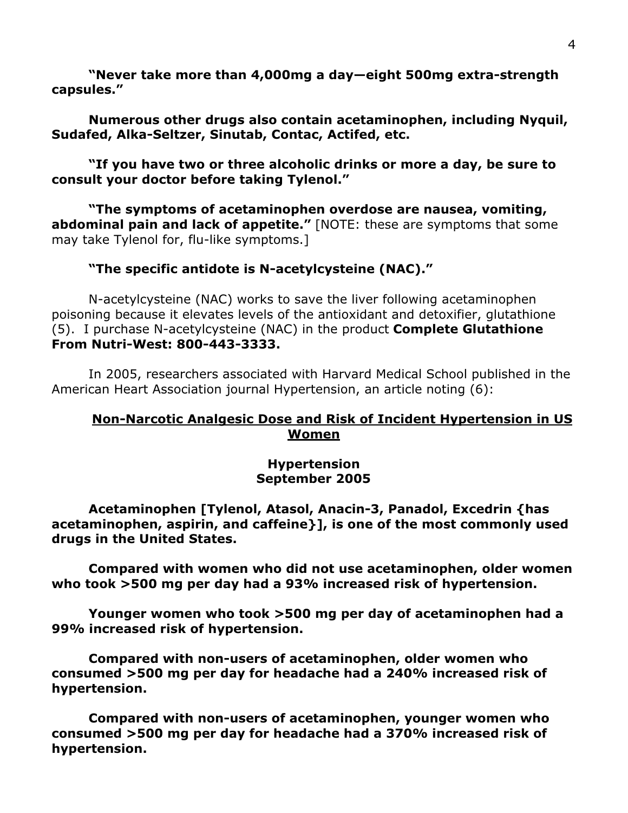**"Never take more than 4,000mg a day—eight 500mg extra-strength capsules."**

# **Numerous other drugs also contain acetaminophen, including Nyquil, Sudafed, Alka-Seltzer, Sinutab, Contac, Actifed, etc.**

## **"If you have two or three alcoholic drinks or more a day, be sure to consult your doctor before taking Tylenol."**

**"The symptoms of acetaminophen overdose are nausea, vomiting, abdominal pain and lack of appetite."** [NOTE: these are symptoms that some may take Tylenol for, flu-like symptoms.]

## **"The specific antidote is N-acetylcysteine (NAC)."**

N-acetylcysteine (NAC) works to save the liver following acetaminophen poisoning because it elevates levels of the antioxidant and detoxifier, glutathione (5). I purchase N-acetylcysteine (NAC) in the product **Complete Glutathione From Nutri-West: 800-443-3333.**

In 2005, researchers associated with Harvard Medical School published in the American Heart Association journal Hypertension, an article noting (6):

# **Non-Narcotic Analgesic Dose and Risk of Incident Hypertension in US Women**

#### **Hypertension September 2005**

**Acetaminophen [Tylenol, Atasol, Anacin-3, Panadol, Excedrin {has acetaminophen, aspirin, and caffeine}], is one of the most commonly used drugs in the United States.**

**Compared with women who did not use acetaminophen, older women who took >500 mg per day had a 93% increased risk of hypertension.**

**Younger women who took >500 mg per day of acetaminophen had a 99% increased risk of hypertension.**

**Compared with non-users of acetaminophen, older women who consumed >500 mg per day for headache had a 240% increased risk of hypertension.**

**Compared with non-users of acetaminophen, younger women who consumed >500 mg per day for headache had a 370% increased risk of hypertension.**